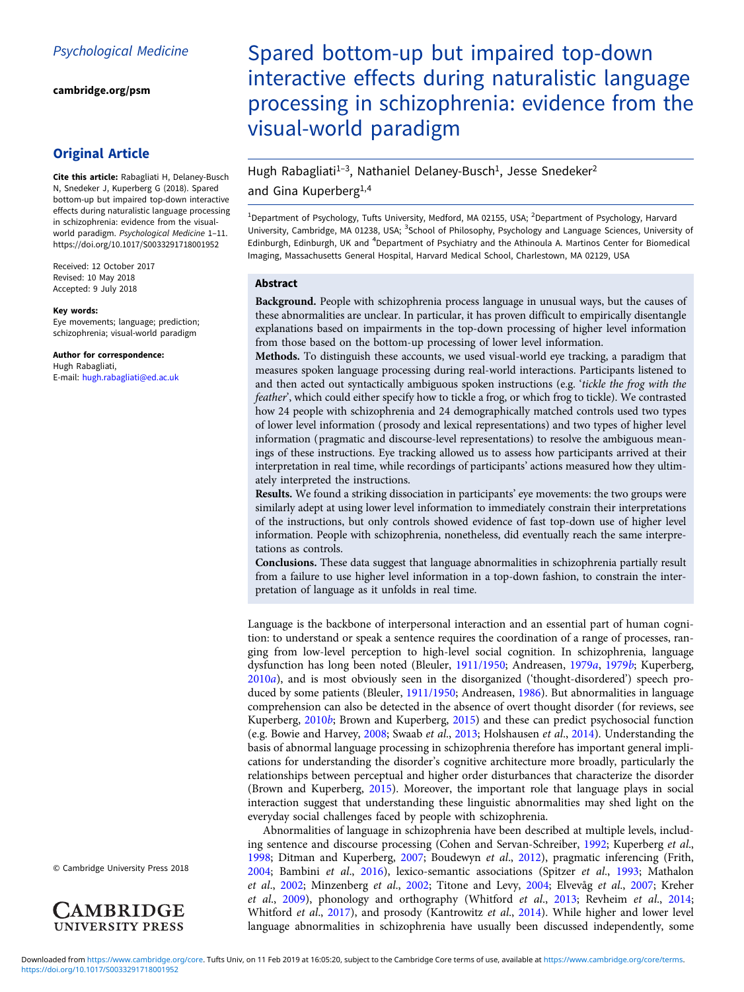[cambridge.org/psm](https://www.cambridge.org/psm)

# Original Article

Cite this article: Rabagliati H, Delaney-Busch N, Snedeker J, Kuperberg G (2018). Spared bottom-up but impaired top-down interactive effects during naturalistic language processing in schizophrenia: evidence from the visualworld paradigm. Psychological Medicine 1–11. <https://doi.org/10.1017/S0033291718001952>

Received: 12 October 2017 Revised: 10 May 2018 Accepted: 9 July 2018

#### Key words:

Eye movements; language; prediction; schizophrenia; visual-world paradigm

Author for correspondence: Hugh Rabagliati, E-mail: [hugh.rabagliati@ed.ac.uk](mailto:hugh.rabagliati@ed.ac.uk)

© Cambridge University Press 2018



# Spared bottom-up but impaired top-down interactive effects during naturalistic language processing in schizophrenia: evidence from the visual-world paradigm

# Hugh Rabagliati<sup>1-3</sup>, Nathaniel Delaney-Busch<sup>1</sup>, Jesse Snedeker<sup>2</sup> and Gina Kuperberg<sup>1,4</sup>

<sup>1</sup>Department of Psychology, Tufts University, Medford, MA 02155, USA; <sup>2</sup>Department of Psychology, Harvard University, Cambridge, MA 01238, USA; <sup>3</sup>School of Philosophy, Psychology and Language Sciences, University of Edinburgh, Edinburgh, UK and <sup>4</sup>Department of Psychiatry and the Athinoula A. Martinos Center for Biomedical Imaging, Massachusetts General Hospital, Harvard Medical School, Charlestown, MA 02129, USA

#### Abstract

Background. People with schizophrenia process language in unusual ways, but the causes of these abnormalities are unclear. In particular, it has proven difficult to empirically disentangle explanations based on impairments in the top-down processing of higher level information from those based on the bottom-up processing of lower level information.

Methods. To distinguish these accounts, we used visual-world eye tracking, a paradigm that measures spoken language processing during real-world interactions. Participants listened to and then acted out syntactically ambiguous spoken instructions (e.g. 'tickle the frog with the feather', which could either specify how to tickle a frog, or which frog to tickle). We contrasted how 24 people with schizophrenia and 24 demographically matched controls used two types of lower level information (prosody and lexical representations) and two types of higher level information (pragmatic and discourse-level representations) to resolve the ambiguous meanings of these instructions. Eye tracking allowed us to assess how participants arrived at their interpretation in real time, while recordings of participants' actions measured how they ultimately interpreted the instructions.

Results. We found a striking dissociation in participants' eye movements: the two groups were similarly adept at using lower level information to immediately constrain their interpretations of the instructions, but only controls showed evidence of fast top-down use of higher level information. People with schizophrenia, nonetheless, did eventually reach the same interpretations as controls.

Conclusions. These data suggest that language abnormalities in schizophrenia partially result from a failure to use higher level information in a top-down fashion, to constrain the interpretation of language as it unfolds in real time.

Language is the backbone of interpersonal interaction and an essential part of human cognition: to understand or speak a sentence requires the coordination of a range of processes, ranging from low-level perception to high-level social cognition. In schizophrenia, language dysfunction has long been noted (Bleuler, [1911/1950;](#page-8-0) Andreasen, [1979](#page-8-0)a, 1979b; Kuperberg, [2010](#page-9-0)a), and is most obviously seen in the disorganized ('thought-disordered') speech produced by some patients (Bleuler, [1911/1950;](#page-8-0) Andreasen, [1986](#page-8-0)). But abnormalities in language comprehension can also be detected in the absence of overt thought disorder (for reviews, see Kuperberg, [2010](#page-9-0)b; Brown and Kuperberg, [2015\)](#page-8-0) and these can predict psychosocial function (e.g. Bowie and Harvey, [2008;](#page-8-0) Swaab et al., [2013](#page-10-0); Holshausen et al., [2014\)](#page-9-0). Understanding the basis of abnormal language processing in schizophrenia therefore has important general implications for understanding the disorder's cognitive architecture more broadly, particularly the relationships between perceptual and higher order disturbances that characterize the disorder (Brown and Kuperberg, [2015\)](#page-8-0). Moreover, the important role that language plays in social interaction suggest that understanding these linguistic abnormalities may shed light on the everyday social challenges faced by people with schizophrenia.

Abnormalities of language in schizophrenia have been described at multiple levels, includ-ing sentence and discourse processing (Cohen and Servan-Schreiber, [1992;](#page-8-0) Kuperberg et al., [1998;](#page-9-0) Ditman and Kuperberg, [2007](#page-8-0); Boudewyn et al., [2012](#page-8-0)), pragmatic inferencing (Frith, [2004;](#page-9-0) Bambini et al., [2016](#page-8-0)), lexico-semantic associations (Spitzer et al., [1993;](#page-10-0) Mathalon et al., [2002;](#page-9-0) Minzenberg et al., [2002](#page-9-0); Titone and Levy, [2004;](#page-10-0) Elvevåg et al., [2007](#page-8-0); Kreher et al., [2009\)](#page-9-0), phonology and orthography (Whitford et al., [2013;](#page-10-0) Revheim et al., [2014](#page-9-0); Whitford et al., [2017\)](#page-10-0), and prosody (Kantrowitz et al., [2014](#page-9-0)). While higher and lower level language abnormalities in schizophrenia have usually been discussed independently, some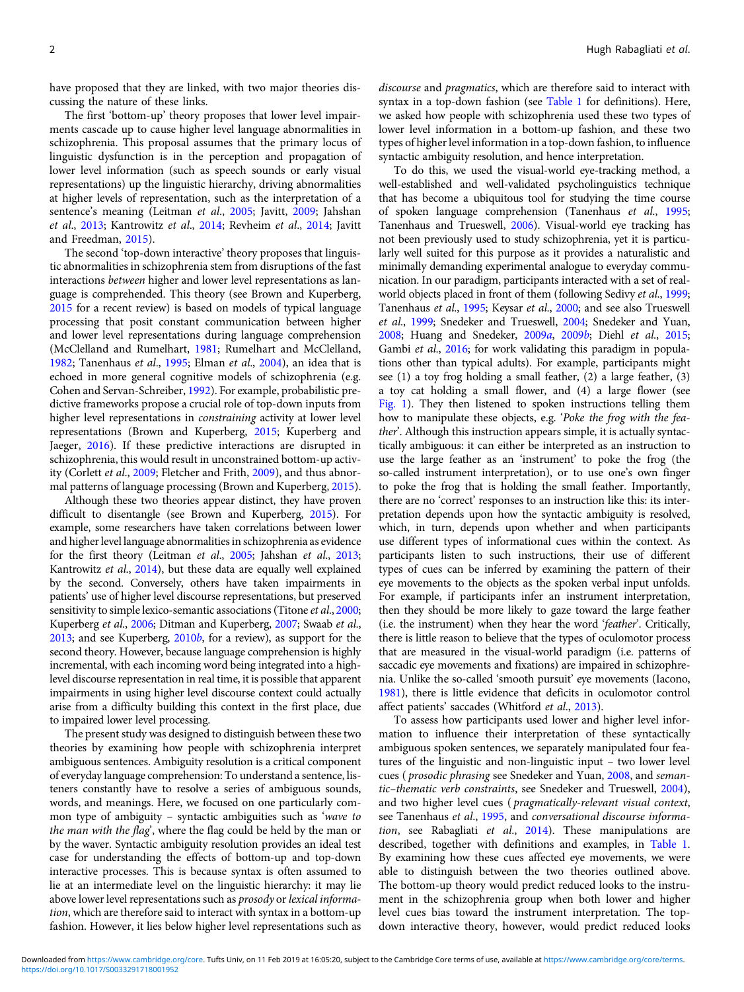have proposed that they are linked, with two major theories discussing the nature of these links.

The first 'bottom-up' theory proposes that lower level impairments cascade up to cause higher level language abnormalities in schizophrenia. This proposal assumes that the primary locus of linguistic dysfunction is in the perception and propagation of lower level information (such as speech sounds or early visual representations) up the linguistic hierarchy, driving abnormalities at higher levels of representation, such as the interpretation of a sentence's meaning (Leitman et al., [2005](#page-9-0); Javitt, [2009;](#page-9-0) Jahshan et al., [2013;](#page-9-0) Kantrowitz et al., [2014;](#page-9-0) Revheim et al., [2014;](#page-9-0) Javitt and Freedman, [2015\)](#page-9-0).

The second 'top-down interactive' theory proposes that linguistic abnormalities in schizophrenia stem from disruptions of the fast interactions between higher and lower level representations as language is comprehended. This theory (see Brown and Kuperberg, [2015](#page-8-0) for a recent review) is based on models of typical language processing that posit constant communication between higher and lower level representations during language comprehension (McClelland and Rumelhart, [1981](#page-9-0); Rumelhart and McClelland, [1982;](#page-9-0) Tanenhaus et al., [1995](#page-10-0); Elman et al., [2004\)](#page-8-0), an idea that is echoed in more general cognitive models of schizophrenia (e.g. Cohen and Servan-Schreiber, [1992\)](#page-8-0). For example, probabilistic predictive frameworks propose a crucial role of top-down inputs from higher level representations in constraining activity at lower level representations (Brown and Kuperberg, [2015;](#page-8-0) Kuperberg and Jaeger, [2016\)](#page-9-0). If these predictive interactions are disrupted in schizophrenia, this would result in unconstrained bottom-up activity (Corlett et al., [2009;](#page-8-0) Fletcher and Frith, [2009](#page-9-0)), and thus abnormal patterns of language processing (Brown and Kuperberg, [2015\)](#page-8-0).

Although these two theories appear distinct, they have proven difficult to disentangle (see Brown and Kuperberg, [2015](#page-8-0)). For example, some researchers have taken correlations between lower and higher level language abnormalities in schizophrenia as evidence for the first theory (Leitman et al., [2005;](#page-9-0) Jahshan et al., [2013](#page-9-0); Kantrowitz et al., [2014](#page-9-0)), but these data are equally well explained by the second. Conversely, others have taken impairments in patients' use of higher level discourse representations, but preserved sensitivity to simple lexico-semantic associations (Titone et al., [2000](#page-10-0); Kuperberg et al., [2006;](#page-9-0) Ditman and Kuperberg, [2007](#page-8-0); Swaab et al., [2013;](#page-10-0) and see Kuperberg, [2010](#page-9-0)b, for a review), as support for the second theory. However, because language comprehension is highly incremental, with each incoming word being integrated into a highlevel discourse representation in real time, it is possible that apparent impairments in using higher level discourse context could actually arise from a difficulty building this context in the first place, due to impaired lower level processing.

The present study was designed to distinguish between these two theories by examining how people with schizophrenia interpret ambiguous sentences. Ambiguity resolution is a critical component of everyday language comprehension: To understand a sentence, listeners constantly have to resolve a series of ambiguous sounds, words, and meanings. Here, we focused on one particularly common type of ambiguity – syntactic ambiguities such as 'wave to the man with the flag', where the flag could be held by the man or by the waver. Syntactic ambiguity resolution provides an ideal test case for understanding the effects of bottom-up and top-down interactive processes. This is because syntax is often assumed to lie at an intermediate level on the linguistic hierarchy: it may lie above lower level representations such as prosody or lexical information, which are therefore said to interact with syntax in a bottom-up fashion. However, it lies below higher level representations such as

discourse and pragmatics, which are therefore said to interact with syntax in a top-down fashion (see [Table 1](#page-2-0) for definitions). Here, we asked how people with schizophrenia used these two types of lower level information in a bottom-up fashion, and these two types of higher level information in a top-down fashion, to influence syntactic ambiguity resolution, and hence interpretation.

To do this, we used the visual-world eye-tracking method, a well-established and well-validated psycholinguistics technique that has become a ubiquitous tool for studying the time course of spoken language comprehension (Tanenhaus et al., [1995;](#page-10-0) Tanenhaus and Trueswell, [2006](#page-10-0)). Visual-world eye tracking has not been previously used to study schizophrenia, yet it is particularly well suited for this purpose as it provides a naturalistic and minimally demanding experimental analogue to everyday communication. In our paradigm, participants interacted with a set of real-world objects placed in front of them (following Sedivy et al., [1999;](#page-9-0) Tanenhaus et al., [1995;](#page-10-0) Keysar et al., [2000;](#page-9-0) and see also Trueswell et al., [1999;](#page-10-0) Snedeker and Trueswell, [2004;](#page-10-0) Snedeker and Yuan, [2008](#page-10-0); Huang and Snedeker, [2009](#page-9-0)a, [2009](#page-9-0)b; Diehl et al., [2015;](#page-8-0) Gambi et al., [2016;](#page-9-0) for work validating this paradigm in populations other than typical adults). For example, participants might see (1) a toy frog holding a small feather, (2) a large feather, (3) a toy cat holding a small flower, and (4) a large flower (see [Fig. 1](#page-2-0)). They then listened to spoken instructions telling them how to manipulate these objects, e.g. 'Poke the frog with the feather'. Although this instruction appears simple, it is actually syntactically ambiguous: it can either be interpreted as an instruction to use the large feather as an 'instrument' to poke the frog (the so-called instrument interpretation), or to use one's own finger to poke the frog that is holding the small feather. Importantly, there are no 'correct' responses to an instruction like this: its interpretation depends upon how the syntactic ambiguity is resolved, which, in turn, depends upon whether and when participants use different types of informational cues within the context. As participants listen to such instructions, their use of different types of cues can be inferred by examining the pattern of their eye movements to the objects as the spoken verbal input unfolds. For example, if participants infer an instrument interpretation, then they should be more likely to gaze toward the large feather (i.e. the instrument) when they hear the word 'feather'. Critically, there is little reason to believe that the types of oculomotor process that are measured in the visual-world paradigm (i.e. patterns of saccadic eye movements and fixations) are impaired in schizophrenia. Unlike the so-called 'smooth pursuit' eye movements (Iacono, [1981](#page-9-0)), there is little evidence that deficits in oculomotor control affect patients' saccades (Whitford et al., [2013\)](#page-10-0).

To assess how participants used lower and higher level information to influence their interpretation of these syntactically ambiguous spoken sentences, we separately manipulated four features of the linguistic and non-linguistic input – two lower level cues ( prosodic phrasing see Snedeker and Yuan, [2008](#page-10-0), and semantic–thematic verb constraints, see Snedeker and Trueswell, [2004](#page-10-0)), and two higher level cues ( pragmatically-relevant visual context, see Tanenhaus et al., [1995,](#page-10-0) and conversational discourse information, see Rabagliati et al.,  $2014$ ). These manipulations are described, together with definitions and examples, in [Table 1.](#page-2-0) By examining how these cues affected eye movements, we were able to distinguish between the two theories outlined above. The bottom-up theory would predict reduced looks to the instrument in the schizophrenia group when both lower and higher level cues bias toward the instrument interpretation. The topdown interactive theory, however, would predict reduced looks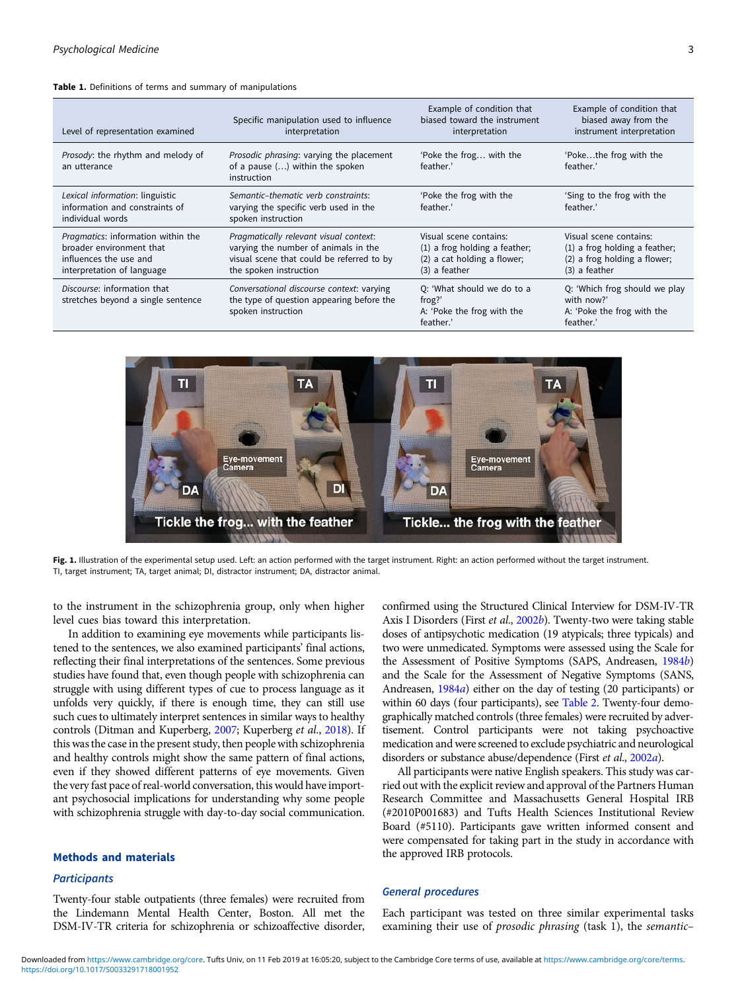<span id="page-2-0"></span>

|  |  |  |  |  |  | Table 1. Definitions of terms and summary of manipulations |  |
|--|--|--|--|--|--|------------------------------------------------------------|--|
|--|--|--|--|--|--|------------------------------------------------------------|--|

| Level of representation examined                                                                                              | Specific manipulation used to influence<br>interpretation                                                                                             | Example of condition that<br>biased toward the instrument<br>interpretation                               | Example of condition that<br>biased away from the<br>instrument interpretation                             |
|-------------------------------------------------------------------------------------------------------------------------------|-------------------------------------------------------------------------------------------------------------------------------------------------------|-----------------------------------------------------------------------------------------------------------|------------------------------------------------------------------------------------------------------------|
| Prosody: the rhythm and melody of<br>an utterance                                                                             | Prosodic phrasing: varying the placement<br>of a pause () within the spoken<br>instruction                                                            | 'Poke the frog with the<br>feather.'                                                                      | 'Pokethe frog with the<br>feather.'                                                                        |
| Lexical information: linguistic<br>information and constraints of<br>individual words                                         | Semantic-thematic verb constraints:<br>varying the specific verb used in the<br>spoken instruction                                                    | 'Poke the frog with the<br>feather.'                                                                      | 'Sing to the frog with the<br>feather.'                                                                    |
| <i>Pragmatics:</i> information within the<br>broader environment that<br>influences the use and<br>interpretation of language | Pragmatically relevant visual context:<br>varying the number of animals in the<br>visual scene that could be referred to by<br>the spoken instruction | Visual scene contains:<br>(1) a frog holding a feather;<br>(2) a cat holding a flower;<br>$(3)$ a feather | Visual scene contains:<br>(1) a frog holding a feather;<br>(2) a frog holding a flower;<br>$(3)$ a feather |
| Discourse: information that<br>stretches beyond a single sentence                                                             | Conversational discourse context: varying<br>the type of question appearing before the<br>spoken instruction                                          | Q: 'What should we do to a<br>frog?'<br>A: 'Poke the frog with the<br>feather.'                           | Q: 'Which frog should we play<br>with now?'<br>A: 'Poke the frog with the<br>feather.'                     |



Fig. 1. Illustration of the experimental setup used. Left: an action performed with the target instrument. Right: an action performed without the target instrument. TI, target instrument; TA, target animal; DI, distractor instrument; DA, distractor animal.

to the instrument in the schizophrenia group, only when higher level cues bias toward this interpretation.

In addition to examining eye movements while participants listened to the sentences, we also examined participants' final actions, reflecting their final interpretations of the sentences. Some previous studies have found that, even though people with schizophrenia can struggle with using different types of cue to process language as it unfolds very quickly, if there is enough time, they can still use such cues to ultimately interpret sentences in similar ways to healthy controls (Ditman and Kuperberg, [2007;](#page-8-0) Kuperberg et al., [2018\)](#page-9-0). If this was the case in the present study, then people with schizophrenia and healthy controls might show the same pattern of final actions, even if they showed different patterns of eye movements. Given the very fast pace of real-world conversation, this would have important psychosocial implications for understanding why some people with schizophrenia struggle with day-to-day social communication.

# Methods and materials

#### **Participants**

Twenty-four stable outpatients (three females) were recruited from the Lindemann Mental Health Center, Boston. All met the DSM-IV-TR criteria for schizophrenia or schizoaffective disorder, confirmed using the Structured Clinical Interview for DSM-IV-TR Axis I Disorders (First et al., [2002](#page-9-0)b). Twenty-two were taking stable doses of antipsychotic medication (19 atypicals; three typicals) and two were unmedicated. Symptoms were assessed using the Scale for the Assessment of Positive Symptoms (SAPS, Andreasen, [1984](#page-8-0)b) and the Scale for the Assessment of Negative Symptoms (SANS, Andreasen, [1984](#page-8-0)a) either on the day of testing (20 participants) or within 60 days (four participants), see [Table 2.](#page-3-0) Twenty-four demographically matched controls (three females) were recruited by advertisement. Control participants were not taking psychoactive medication and were screened to exclude psychiatric and neurological disorders or substance abuse/dependence (First et al., [2002](#page-9-0)a).

All participants were native English speakers. This study was carried out with the explicit review and approval of the Partners Human Research Committee and Massachusetts General Hospital IRB (#2010P001683) and Tufts Health Sciences Institutional Review Board (#5110). Participants gave written informed consent and were compensated for taking part in the study in accordance with the approved IRB protocols.

#### General procedures

Each participant was tested on three similar experimental tasks examining their use of prosodic phrasing (task 1), the semantic–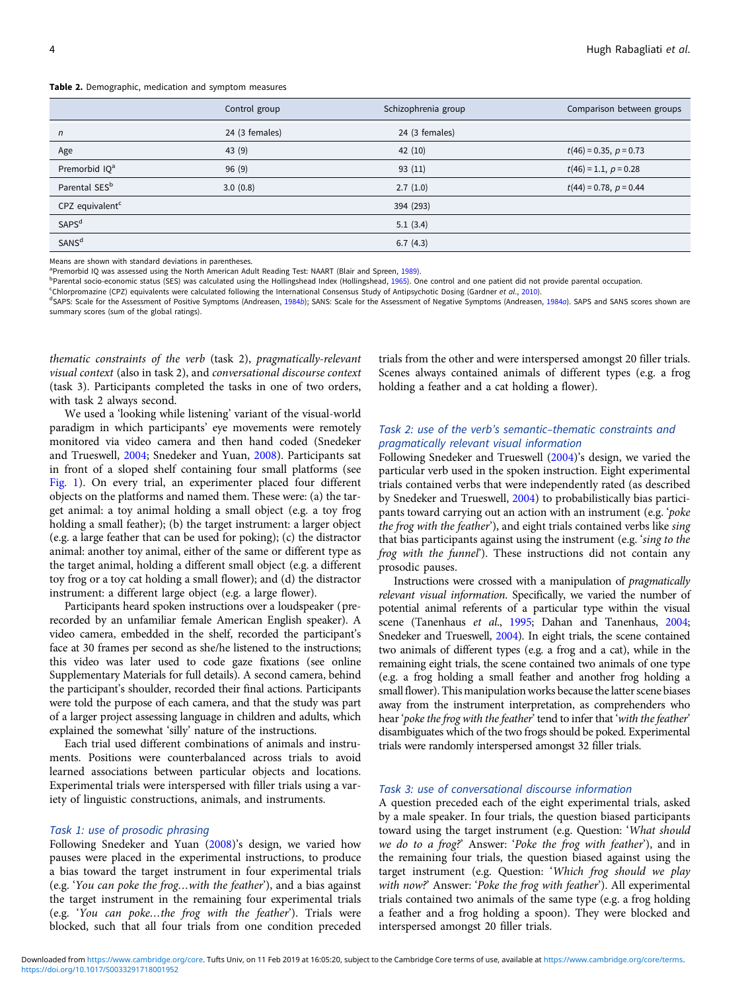#### <span id="page-3-0"></span>Table 2. Demographic, medication and symptom measures

|                             | Control group  | Schizophrenia group | Comparison between groups   |  |
|-----------------------------|----------------|---------------------|-----------------------------|--|
| $\mathsf{n}$                | 24 (3 females) | 24 (3 females)      |                             |  |
| Age                         | 43 (9)         | 42 (10)             | $t(46) = 0.35, p = 0.73$    |  |
| Premorbid IQ <sup>a</sup>   | 96(9)          | 93(11)              | $t(46) = 1.1, p = 0.28$     |  |
| Parental SES <sup>b</sup>   | 3.0(0.8)       | 2.7(1.0)            | $t(44) = 0.78$ , $p = 0.44$ |  |
| CPZ equivalent <sup>c</sup> |                | 394 (293)           |                             |  |
| SAPS <sup>d</sup>           |                | 5.1(3.4)            |                             |  |
| SANS <sup>d</sup>           |                | 6.7 $(4.3)$         |                             |  |

Means are shown with standard deviations in parentheses.

<sup>a</sup>Premorbid IO was assessed using the North American Adult Reading Test: NAART (Blair and Spreen, 1989).

<sup>a</sup>Premorbid IQ was assessed using the North American Adult Reading Test: NAART (Blair and Spreen, [1989\)](#page-8-0).<br><sup>5</sup>Parental socio-economic status (SES) was calculated using the Hollingshead Index (Hollingshead, [1965\)](#page-9-0). One contro

<sup>c</sup>Chlorpromazine (CPZ) equivalents were calculated following the International Consensus Study of Antipsychotic Dosing (Gardner *et al.,* [2010](#page-9-0)).<br><sup>d</sup>SAPS: Scale for the Assessment of Positive Symptoms (Andreasen, [1984](#page-8-0)b); S summary scores (sum of the global ratings).

thematic constraints of the verb (task 2), pragmatically-relevant visual context (also in task 2), and conversational discourse context (task 3). Participants completed the tasks in one of two orders, with task 2 always second.

We used a 'looking while listening' variant of the visual-world paradigm in which participants' eye movements were remotely monitored via video camera and then hand coded (Snedeker and Trueswell, [2004](#page-10-0); Snedeker and Yuan, [2008\)](#page-10-0). Participants sat in front of a sloped shelf containing four small platforms (see [Fig. 1](#page-2-0)). On every trial, an experimenter placed four different objects on the platforms and named them. These were: (a) the target animal: a toy animal holding a small object (e.g. a toy frog holding a small feather); (b) the target instrument: a larger object (e.g. a large feather that can be used for poking); (c) the distractor animal: another toy animal, either of the same or different type as the target animal, holding a different small object (e.g. a different toy frog or a toy cat holding a small flower); and (d) the distractor instrument: a different large object (e.g. a large flower).

Participants heard spoken instructions over a loudspeaker (prerecorded by an unfamiliar female American English speaker). A video camera, embedded in the shelf, recorded the participant's face at 30 frames per second as she/he listened to the instructions; this video was later used to code gaze fixations (see online Supplementary Materials for full details). A second camera, behind the participant's shoulder, recorded their final actions. Participants were told the purpose of each camera, and that the study was part of a larger project assessing language in children and adults, which explained the somewhat 'silly' nature of the instructions.

Each trial used different combinations of animals and instruments. Positions were counterbalanced across trials to avoid learned associations between particular objects and locations. Experimental trials were interspersed with filler trials using a variety of linguistic constructions, animals, and instruments.

#### Task 1: use of prosodic phrasing

Following Snedeker and Yuan [\(2008\)](#page-10-0)'s design, we varied how pauses were placed in the experimental instructions, to produce a bias toward the target instrument in four experimental trials (e.g. 'You can poke the frog…with the feather'), and a bias against the target instrument in the remaining four experimental trials (e.g. 'You can poke…the frog with the feather'). Trials were blocked, such that all four trials from one condition preceded trials from the other and were interspersed amongst 20 filler trials. Scenes always contained animals of different types (e.g. a frog holding a feather and a cat holding a flower).

# Task 2: use of the verb's semantic–thematic constraints and pragmatically relevant visual information

Following Snedeker and Trueswell [\(2004](#page-10-0))'s design, we varied the particular verb used in the spoken instruction. Eight experimental trials contained verbs that were independently rated (as described by Snedeker and Trueswell, [2004\)](#page-10-0) to probabilistically bias participants toward carrying out an action with an instrument (e.g. 'poke the frog with the feather'), and eight trials contained verbs like sing that bias participants against using the instrument (e.g. 'sing to the frog with the funnel'). These instructions did not contain any prosodic pauses.

Instructions were crossed with a manipulation of pragmatically relevant visual information. Specifically, we varied the number of potential animal referents of a particular type within the visual scene (Tanenhaus et al., [1995;](#page-10-0) Dahan and Tanenhaus, [2004;](#page-8-0) Snedeker and Trueswell, [2004\)](#page-10-0). In eight trials, the scene contained two animals of different types (e.g. a frog and a cat), while in the remaining eight trials, the scene contained two animals of one type (e.g. a frog holding a small feather and another frog holding a small flower). This manipulation works because the latter scene biases away from the instrument interpretation, as comprehenders who hear 'poke the frog with the feather' tend to infer that 'with the feather' disambiguates which of the two frogs should be poked. Experimental trials were randomly interspersed amongst 32 filler trials.

#### Task 3: use of conversational discourse information

A question preceded each of the eight experimental trials, asked by a male speaker. In four trials, the question biased participants toward using the target instrument (e.g. Question: 'What should we do to a frog?' Answer: 'Poke the frog with feather'), and in the remaining four trials, the question biased against using the target instrument (e.g. Question: 'Which frog should we play with now?' Answer: 'Poke the frog with feather'). All experimental trials contained two animals of the same type (e.g. a frog holding a feather and a frog holding a spoon). They were blocked and interspersed amongst 20 filler trials.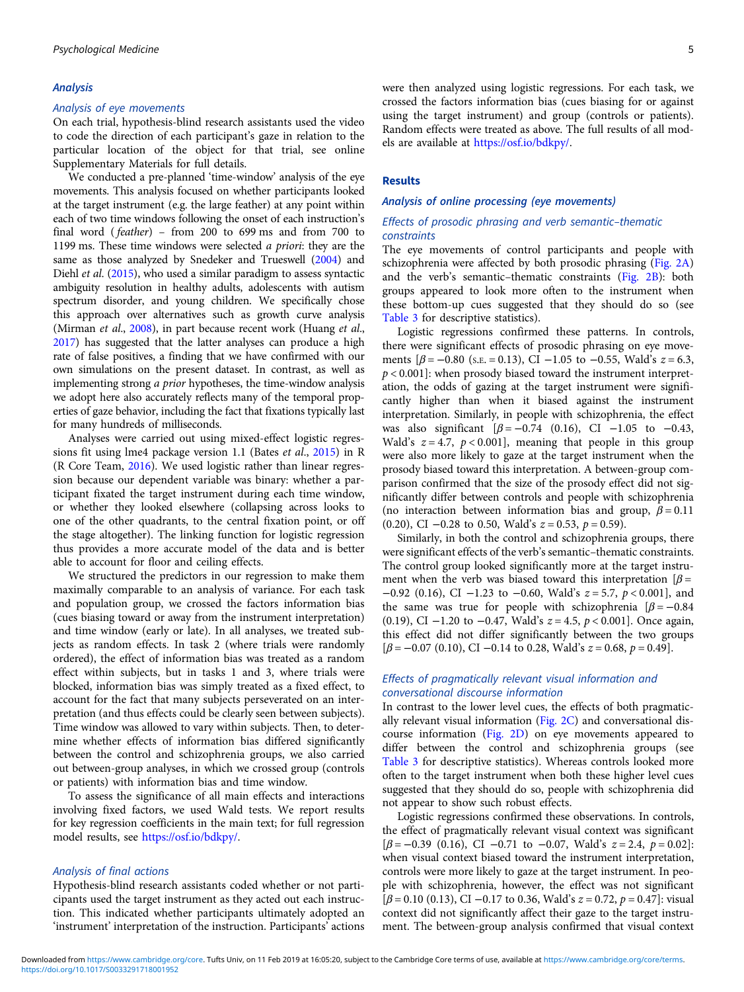#### Analysis

#### Analysis of eye movements

On each trial, hypothesis-blind research assistants used the video to code the direction of each participant's gaze in relation to the particular location of the object for that trial, see online Supplementary Materials for full details.

We conducted a pre-planned 'time-window' analysis of the eye movements. This analysis focused on whether participants looked at the target instrument (e.g. the large feather) at any point within each of two time windows following the onset of each instruction's final word ( feather) – from 200 to 699 ms and from 700 to 1199 ms. These time windows were selected a priori: they are the same as those analyzed by Snedeker and Trueswell [\(2004](#page-10-0)) and Diehl et al. [\(2015\)](#page-8-0), who used a similar paradigm to assess syntactic ambiguity resolution in healthy adults, adolescents with autism spectrum disorder, and young children. We specifically chose this approach over alternatives such as growth curve analysis (Mirman et al., [2008\)](#page-9-0), in part because recent work (Huang et al., [2017](#page-9-0)) has suggested that the latter analyses can produce a high rate of false positives, a finding that we have confirmed with our own simulations on the present dataset. In contrast, as well as implementing strong a prior hypotheses, the time-window analysis we adopt here also accurately reflects many of the temporal properties of gaze behavior, including the fact that fixations typically last for many hundreds of milliseconds.

Analyses were carried out using mixed-effect logistic regressions fit using lme4 package version 1.1 (Bates et al., [2015\)](#page-8-0) in R (R Core Team, [2016\)](#page-9-0). We used logistic rather than linear regression because our dependent variable was binary: whether a participant fixated the target instrument during each time window, or whether they looked elsewhere (collapsing across looks to one of the other quadrants, to the central fixation point, or off the stage altogether). The linking function for logistic regression thus provides a more accurate model of the data and is better able to account for floor and ceiling effects.

We structured the predictors in our regression to make them maximally comparable to an analysis of variance. For each task and population group, we crossed the factors information bias (cues biasing toward or away from the instrument interpretation) and time window (early or late). In all analyses, we treated subjects as random effects. In task 2 (where trials were randomly ordered), the effect of information bias was treated as a random effect within subjects, but in tasks 1 and 3, where trials were blocked, information bias was simply treated as a fixed effect, to account for the fact that many subjects perseverated on an interpretation (and thus effects could be clearly seen between subjects). Time window was allowed to vary within subjects. Then, to determine whether effects of information bias differed significantly between the control and schizophrenia groups, we also carried out between-group analyses, in which we crossed group (controls or patients) with information bias and time window.

To assess the significance of all main effects and interactions involving fixed factors, we used Wald tests. We report results for key regression coefficients in the main text; for full regression model results, see <https://osf.io/bdkpy/>.

#### Analysis of final actions

Hypothesis-blind research assistants coded whether or not participants used the target instrument as they acted out each instruction. This indicated whether participants ultimately adopted an 'instrument' interpretation of the instruction. Participants' actions were then analyzed using logistic regressions. For each task, we crossed the factors information bias (cues biasing for or against using the target instrument) and group (controls or patients). Random effects were treated as above. The full results of all models are available at <https://osf.io/bdkpy/>.

## Results

#### Analysis of online processing (eye movements)

# Effects of prosodic phrasing and verb semantic–thematic constraints

The eye movements of control participants and people with schizophrenia were affected by both prosodic phrasing ([Fig. 2A](#page-5-0)) and the verb's semantic–thematic constraints ([Fig. 2B](#page-5-0)): both groups appeared to look more often to the instrument when these bottom-up cues suggested that they should do so (see [Table 3](#page-6-0) for descriptive statistics).

Logistic regressions confirmed these patterns. In controls, there were significant effects of prosodic phrasing on eye movements  $[\beta = -0.80$  (s.e. = 0.13), CI -1.05 to -0.55, Wald's  $z = 6.3$ ,  $p < 0.001$ : when prosody biased toward the instrument interpretation, the odds of gazing at the target instrument were significantly higher than when it biased against the instrument interpretation. Similarly, in people with schizophrenia, the effect was also significant  $[\beta = -0.74 \ (0.16), \ CI \ -1.05 \ to \ -0.43,$ Wald's  $z = 4.7$ ,  $p < 0.001$ ], meaning that people in this group were also more likely to gaze at the target instrument when the prosody biased toward this interpretation. A between-group comparison confirmed that the size of the prosody effect did not significantly differ between controls and people with schizophrenia (no interaction between information bias and group,  $\beta = 0.11$ (0.20), CI  $-0.28$  to 0.50, Wald's  $z = 0.53$ ,  $p = 0.59$ ).

Similarly, in both the control and schizophrenia groups, there were significant effects of the verb's semantic–thematic constraints. The control group looked significantly more at the target instrument when the verb was biased toward this interpretation  $[\beta =$  $-0.92$  (0.16), CI  $-1.23$  to  $-0.60$ , Wald's  $z = 5.7$ ,  $p < 0.001$ ], and the same was true for people with schizophrenia  $[\beta = -0.84]$ (0.19), CI  $-1.20$  to  $-0.47$ , Wald's  $z = 4.5$ ,  $p < 0.001$ ]. Once again, this effect did not differ significantly between the two groups  $[\beta = -0.07 \ (0.10), \text{ CI} \ -0.14 \text{ to } 0.28, \text{ Wald's } z = 0.68, \ p = 0.49].$ 

# Effects of pragmatically relevant visual information and conversational discourse information

In contrast to the lower level cues, the effects of both pragmatically relevant visual information [\(Fig. 2C\)](#page-5-0) and conversational discourse information ([Fig. 2D\)](#page-5-0) on eye movements appeared to differ between the control and schizophrenia groups (see [Table 3](#page-6-0) for descriptive statistics). Whereas controls looked more often to the target instrument when both these higher level cues suggested that they should do so, people with schizophrenia did not appear to show such robust effects.

Logistic regressions confirmed these observations. In controls, the effect of pragmatically relevant visual context was significant  $[\beta = -0.39 \ (0.16), \ CI \ -0.71 \ \text{to} \ -0.07, \ \text{Wald's} \ z = 2.4, \ p = 0.02]$ : when visual context biased toward the instrument interpretation, controls were more likely to gaze at the target instrument. In people with schizophrenia, however, the effect was not significant  $[\beta = 0.10 (0.13), CI -0.17$  to 0.36, Wald's  $z = 0.72, p = 0.47$ ]: visual context did not significantly affect their gaze to the target instrument. The between-group analysis confirmed that visual context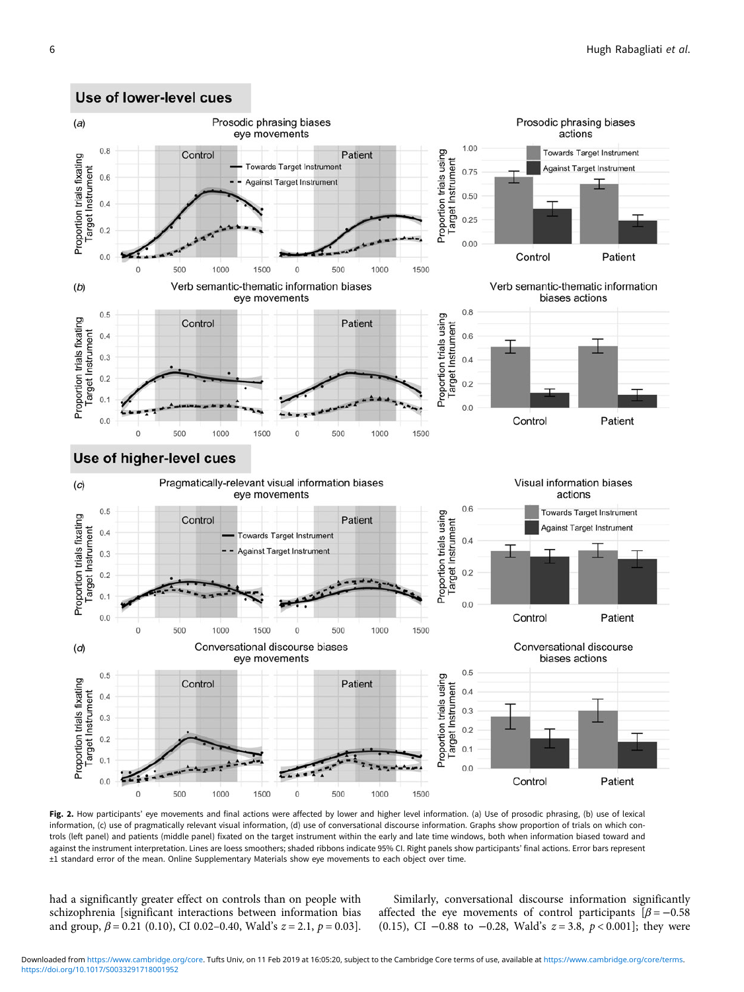<span id="page-5-0"></span>

Fig. 2. How participants' eye movements and final actions were affected by lower and higher level information. (a) Use of prosodic phrasing, (b) use of lexical information, (c) use of pragmatically relevant visual information, (d) use of conversational discourse information. Graphs show proportion of trials on which controls (left panel) and patients (middle panel) fixated on the target instrument within the early and late time windows, both when information biased toward and against the instrument interpretation. Lines are loess smoothers; shaded ribbons indicate 95% CI. Right panels show participants' final actions. Error bars represent ±1 standard error of the mean. Online Supplementary Materials show eye movements to each object over time.

had a significantly greater effect on controls than on people with schizophrenia [significant interactions between information bias and group,  $\beta = 0.21$  (0.10), CI 0.02–0.40, Wald's  $z = 2.1$ ,  $p = 0.03$ .

Similarly, conversational discourse information significantly affected the eye movements of control participants  $[\beta = -0.58]$ (0.15), CI −0.88 to −0.28, Wald's  $z = 3.8$ ,  $p < 0.001$ ]; they were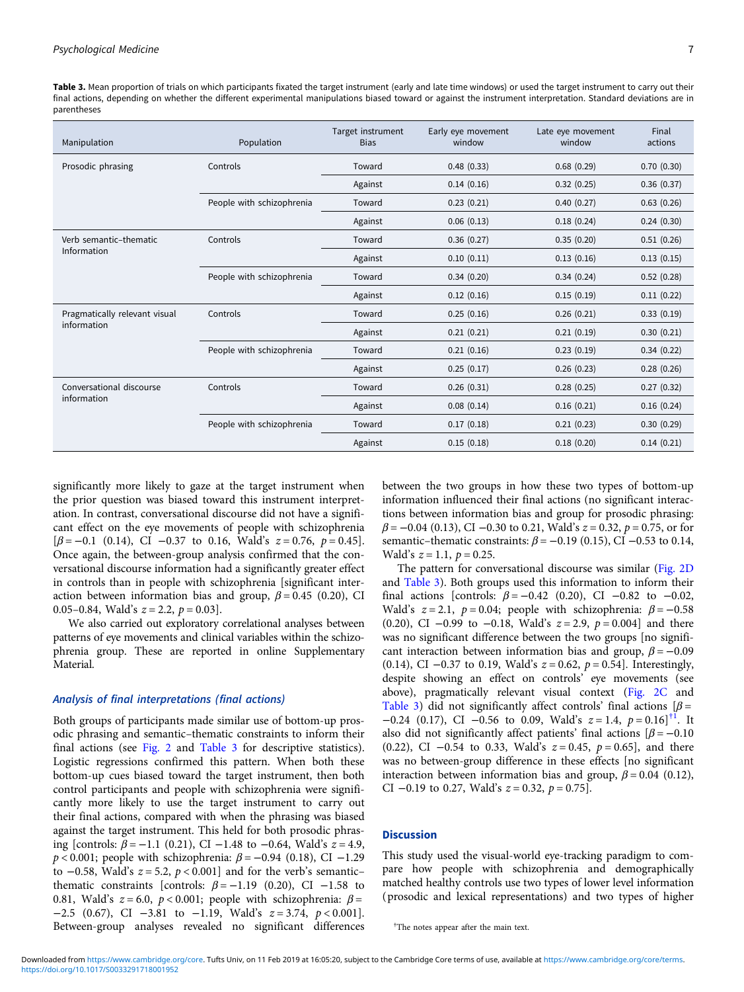<span id="page-6-0"></span>Table 3. Mean proportion of trials on which participants fixated the target instrument (early and late time windows) or used the target instrument to carry out their final actions, depending on whether the different experimental manipulations biased toward or against the instrument interpretation. Standard deviations are in parentheses

| Manipulation                                 | Population                | Target instrument<br><b>Bias</b> | Early eye movement<br>window | Late eye movement<br>window | Final<br>actions |
|----------------------------------------------|---------------------------|----------------------------------|------------------------------|-----------------------------|------------------|
| Prosodic phrasing                            | Controls                  | Toward                           | 0.48(0.33)                   | 0.68(0.29)                  | 0.70(0.30)       |
|                                              |                           | Against                          | 0.14(0.16)                   | 0.32(0.25)                  | 0.36(0.37)       |
|                                              | People with schizophrenia | Toward                           | 0.23(0.21)                   | 0.40(0.27)                  | 0.63(0.26)       |
|                                              |                           | Against                          | 0.06(0.13)                   | 0.18(0.24)                  | 0.24(0.30)       |
| Verb semantic-thematic<br>Information        | Controls                  | Toward                           | 0.36(0.27)                   | 0.35(0.20)                  | 0.51(0.26)       |
|                                              |                           | Against                          | 0.10(0.11)                   | 0.13(0.16)                  | 0.13(0.15)       |
|                                              | People with schizophrenia | Toward                           | 0.34(0.20)                   | 0.34(0.24)                  | 0.52(0.28)       |
|                                              |                           | Against                          | 0.12(0.16)                   | 0.15(0.19)                  | 0.11(0.22)       |
| Pragmatically relevant visual<br>information | Controls                  | Toward                           | 0.25(0.16)                   | 0.26(0.21)                  | 0.33(0.19)       |
|                                              |                           | Against                          | 0.21(0.21)                   | 0.21(0.19)                  | 0.30(0.21)       |
|                                              | People with schizophrenia | Toward                           | 0.21(0.16)                   | 0.23(0.19)                  | 0.34(0.22)       |
|                                              |                           | Against                          | 0.25(0.17)                   | 0.26(0.23)                  | 0.28(0.26)       |
| Conversational discourse                     | Controls                  | Toward                           | 0.26(0.31)                   | 0.28(0.25)                  | 0.27(0.32)       |
| information                                  |                           | Against                          | 0.08(0.14)                   | 0.16(0.21)                  | 0.16(0.24)       |
|                                              | People with schizophrenia | Toward                           | 0.17(0.18)                   | 0.21(0.23)                  | 0.30(0.29)       |
|                                              |                           | Against                          | 0.15(0.18)                   | 0.18(0.20)                  | 0.14(0.21)       |

significantly more likely to gaze at the target instrument when the prior question was biased toward this instrument interpretation. In contrast, conversational discourse did not have a significant effect on the eye movements of people with schizophrenia  $[\beta = -0.1 \ (0.14), \ CI \ -0.37 \ to \ 0.16, \ Wald's \ z = 0.76, \ p = 0.45].$ Once again, the between-group analysis confirmed that the conversational discourse information had a significantly greater effect in controls than in people with schizophrenia [significant interaction between information bias and group,  $\beta = 0.45$  (0.20), CI 0.05–0.84, Wald's  $z = 2.2$ ,  $p = 0.03$ .

We also carried out exploratory correlational analyses between patterns of eye movements and clinical variables within the schizophrenia group. These are reported in online Supplementary Material.

#### Analysis of final interpretations (final actions)

Both groups of participants made similar use of bottom-up prosodic phrasing and semantic–thematic constraints to inform their final actions (see [Fig. 2](#page-5-0) and Table 3 for descriptive statistics). Logistic regressions confirmed this pattern. When both these bottom-up cues biased toward the target instrument, then both control participants and people with schizophrenia were significantly more likely to use the target instrument to carry out their final actions, compared with when the phrasing was biased against the target instrument. This held for both prosodic phrasing [controls: β = −1.1 (0.21), CI −1.48 to −0.64, Wald's z = 4.9,  $p < 0.001$ ; people with schizophrenia:  $\beta = -0.94$  (0.18), CI -1.29 to −0.58, Wald's  $z = 5.2$ ,  $p < 0.001$ ] and for the verb's semantic– thematic constraints [controls:  $\beta = -1.19$  (0.20), CI -1.58 to 0.81, Wald's  $z = 6.0$ ,  $p < 0.001$ ; people with schizophrenia:  $\beta =$ −2.5 (0.67), CI −3.81 to −1.19, Wald's  $z = 3.74$ ,  $p < 0.001$ ]. Between-group analyses revealed no significant differences between the two groups in how these two types of bottom-up information influenced their final actions (no significant interactions between information bias and group for prosodic phrasing:  $\beta$  = −0.04 (0.13), CI −0.30 to 0.21, Wald's  $z$  = 0.32,  $p$  = 0.75, or for semantic–thematic constraints:  $\beta$  = −0.19 (0.15), CI −0.53 to 0.14, Wald's  $z = 1.1$ ,  $p = 0.25$ .

The pattern for conversational discourse was similar ([Fig. 2D](#page-5-0) and Table 3). Both groups used this information to inform their final actions [controls:  $\beta = -0.42$  (0.20), CI -0.82 to -0.02, Wald's  $z = 2.1$ ,  $p = 0.04$ ; people with schizophrenia:  $\beta = -0.58$ (0.20), CI −0.99 to −0.18, Wald's  $z = 2.9$ ,  $p = 0.004$ ] and there was no significant difference between the two groups [no significant interaction between information bias and group,  $\beta = -0.09$ (0.14), CI  $-0.37$  to 0.19, Wald's  $z = 0.62$ ,  $p = 0.54$ ]. Interestingly, despite showing an effect on controls' eye movements (see above), pragmatically relevant visual context ([Fig. 2C](#page-5-0) and Table 3) did not significantly affect controls' final actions  $\beta$  = −0.24 (0.[1](#page-8-0)7), CI −0.56 to 0.09, Wald's  $z = 1.4$ ,  $p = 0.16$ ]<sup>+1</sup>. It also did not significantly affect patients' final actions  $\beta = -0.10$ (0.22), CI  $-0.54$  to 0.33, Wald's  $z = 0.45$ ,  $p = 0.65$ , and there was no between-group difference in these effects [no significant interaction between information bias and group,  $\beta$  = 0.04 (0.12), CI  $-0.19$  to 0.27, Wald's  $z = 0.32$ ,  $p = 0.75$ ].

## Discussion

This study used the visual-world eye-tracking paradigm to compare how people with schizophrenia and demographically matched healthy controls use two types of lower level information (prosodic and lexical representations) and two types of higher

† The notes appear after the main text.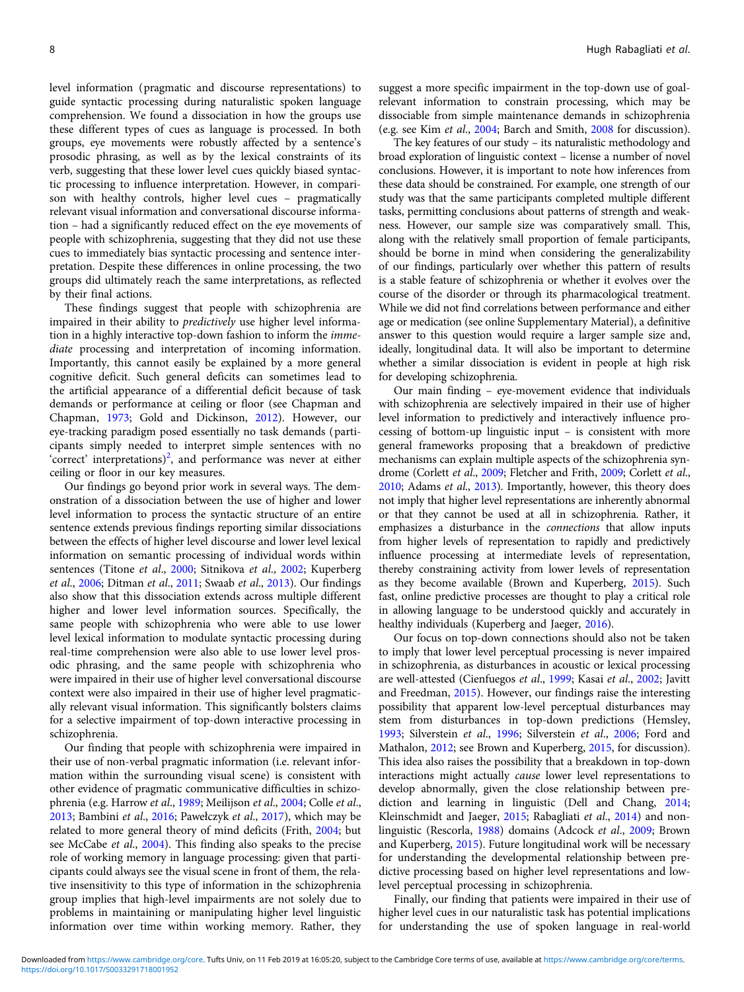level information (pragmatic and discourse representations) to guide syntactic processing during naturalistic spoken language comprehension. We found a dissociation in how the groups use these different types of cues as language is processed. In both groups, eye movements were robustly affected by a sentence's prosodic phrasing, as well as by the lexical constraints of its verb, suggesting that these lower level cues quickly biased syntactic processing to influence interpretation. However, in comparison with healthy controls, higher level cues – pragmatically relevant visual information and conversational discourse information – had a significantly reduced effect on the eye movements of people with schizophrenia, suggesting that they did not use these cues to immediately bias syntactic processing and sentence interpretation. Despite these differences in online processing, the two groups did ultimately reach the same interpretations, as reflected by their final actions.

These findings suggest that people with schizophrenia are impaired in their ability to predictively use higher level information in a highly interactive top-down fashion to inform the immediate processing and interpretation of incoming information. Importantly, this cannot easily be explained by a more general cognitive deficit. Such general deficits can sometimes lead to the artificial appearance of a differential deficit because of task demands or performance at ceiling or floor (see Chapman and Chapman, [1973;](#page-8-0) Gold and Dickinson, [2012\)](#page-9-0). However, our eye-tracking paradigm posed essentially no task demands (participants simply needed to interpret simple sentences with no 'correct' interpretations)<sup>[2](#page-8-0)</sup>, and performance was never at either ceiling or floor in our key measures.

Our findings go beyond prior work in several ways. The demonstration of a dissociation between the use of higher and lower level information to process the syntactic structure of an entire sentence extends previous findings reporting similar dissociations between the effects of higher level discourse and lower level lexical information on semantic processing of individual words within sentences (Titone et al., [2000;](#page-10-0) Sitnikova et al., [2002](#page-10-0); Kuperberg et al., [2006](#page-9-0); Ditman et al., [2011](#page-8-0); Swaab et al., [2013](#page-10-0)). Our findings also show that this dissociation extends across multiple different higher and lower level information sources. Specifically, the same people with schizophrenia who were able to use lower level lexical information to modulate syntactic processing during real-time comprehension were also able to use lower level prosodic phrasing, and the same people with schizophrenia who were impaired in their use of higher level conversational discourse context were also impaired in their use of higher level pragmatically relevant visual information. This significantly bolsters claims for a selective impairment of top-down interactive processing in schizophrenia.

Our finding that people with schizophrenia were impaired in their use of non-verbal pragmatic information (i.e. relevant information within the surrounding visual scene) is consistent with other evidence of pragmatic communicative difficulties in schizophrenia (e.g. Harrow et al., [1989;](#page-9-0) Meilijson et al., [2004](#page-9-0); Colle et al., [2013;](#page-8-0) Bambini et al., [2016;](#page-8-0) Pawełczyk et al., [2017\)](#page-9-0), which may be related to more general theory of mind deficits (Frith, [2004](#page-9-0); but see McCabe et al., [2004\)](#page-9-0). This finding also speaks to the precise role of working memory in language processing: given that participants could always see the visual scene in front of them, the relative insensitivity to this type of information in the schizophrenia group implies that high-level impairments are not solely due to problems in maintaining or manipulating higher level linguistic information over time within working memory. Rather, they

suggest a more specific impairment in the top-down use of goalrelevant information to constrain processing, which may be dissociable from simple maintenance demands in schizophrenia (e.g. see Kim et al., [2004;](#page-9-0) Barch and Smith, [2008](#page-8-0) for discussion).

The key features of our study – its naturalistic methodology and broad exploration of linguistic context – license a number of novel conclusions. However, it is important to note how inferences from these data should be constrained. For example, one strength of our study was that the same participants completed multiple different tasks, permitting conclusions about patterns of strength and weakness. However, our sample size was comparatively small. This, along with the relatively small proportion of female participants, should be borne in mind when considering the generalizability of our findings, particularly over whether this pattern of results is a stable feature of schizophrenia or whether it evolves over the course of the disorder or through its pharmacological treatment. While we did not find correlations between performance and either age or medication (see online Supplementary Material), a definitive answer to this question would require a larger sample size and, ideally, longitudinal data. It will also be important to determine whether a similar dissociation is evident in people at high risk for developing schizophrenia.

Our main finding – eye-movement evidence that individuals with schizophrenia are selectively impaired in their use of higher level information to predictively and interactively influence processing of bottom-up linguistic input – is consistent with more general frameworks proposing that a breakdown of predictive mechanisms can explain multiple aspects of the schizophrenia syn-drome (Corlett et al., [2009](#page-8-0); Fletcher and Frith, [2009;](#page-9-0) Corlett et al., [2010](#page-8-0); Adams et al., [2013\)](#page-8-0). Importantly, however, this theory does not imply that higher level representations are inherently abnormal or that they cannot be used at all in schizophrenia. Rather, it emphasizes a disturbance in the connections that allow inputs from higher levels of representation to rapidly and predictively influence processing at intermediate levels of representation, thereby constraining activity from lower levels of representation as they become available (Brown and Kuperberg, [2015](#page-8-0)). Such fast, online predictive processes are thought to play a critical role in allowing language to be understood quickly and accurately in healthy individuals (Kuperberg and Jaeger, [2016](#page-9-0)).

Our focus on top-down connections should also not be taken to imply that lower level perceptual processing is never impaired in schizophrenia, as disturbances in acoustic or lexical processing are well-attested (Cienfuegos et al., [1999;](#page-8-0) Kasai et al., [2002](#page-9-0); Javitt and Freedman, [2015\)](#page-9-0). However, our findings raise the interesting possibility that apparent low-level perceptual disturbances may stem from disturbances in top-down predictions (Hemsley, [1993;](#page-9-0) Silverstein et al., [1996;](#page-10-0) Silverstein et al., [2006;](#page-9-0) Ford and Mathalon, [2012](#page-9-0); see Brown and Kuperberg, [2015,](#page-8-0) for discussion). This idea also raises the possibility that a breakdown in top-down interactions might actually cause lower level representations to develop abnormally, given the close relationship between prediction and learning in linguistic (Dell and Chang, [2014;](#page-8-0) Kleinschmidt and Jaeger, [2015;](#page-9-0) Rabagliati et al., [2014](#page-9-0)) and nonlinguistic (Rescorla, [1988](#page-9-0)) domains (Adcock et al., [2009](#page-8-0); Brown and Kuperberg, [2015](#page-8-0)). Future longitudinal work will be necessary for understanding the developmental relationship between predictive processing based on higher level representations and lowlevel perceptual processing in schizophrenia.

Finally, our finding that patients were impaired in their use of higher level cues in our naturalistic task has potential implications for understanding the use of spoken language in real-world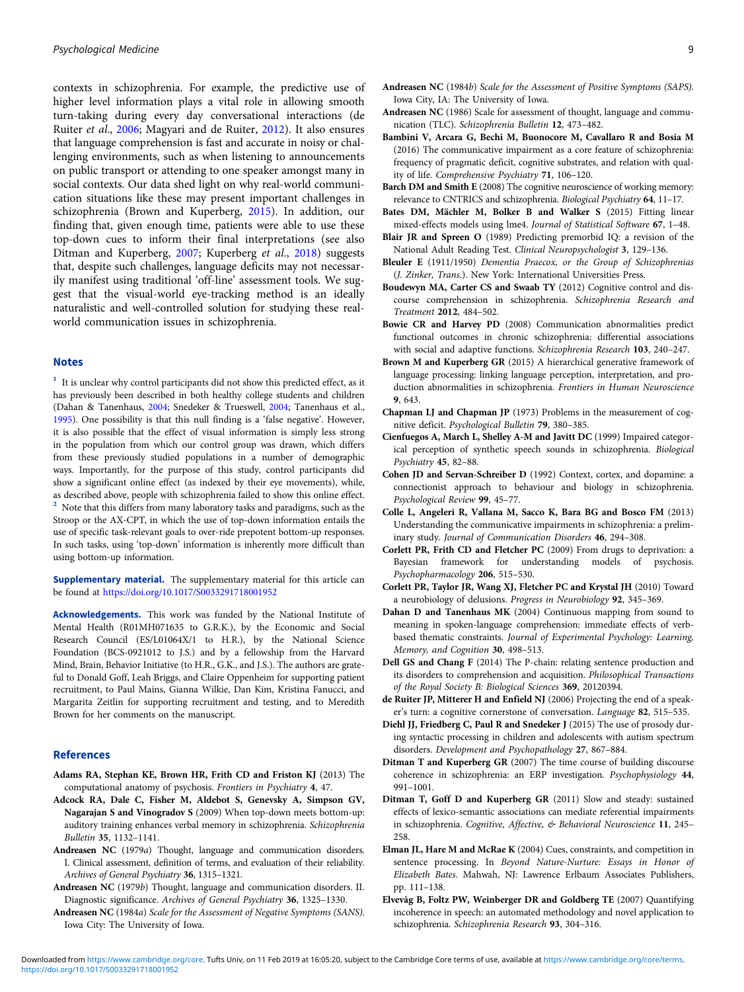<span id="page-8-0"></span>contexts in schizophrenia. For example, the predictive use of higher level information plays a vital role in allowing smooth turn-taking during every day conversational interactions (de Ruiter et al., 2006; Magyari and de Ruiter, [2012\)](#page-9-0). It also ensures that language comprehension is fast and accurate in noisy or challenging environments, such as when listening to announcements on public transport or attending to one speaker amongst many in social contexts. Our data shed light on why real-world communication situations like these may present important challenges in schizophrenia (Brown and Kuperberg, 2015). In addition, our finding that, given enough time, patients were able to use these top-down cues to inform their final interpretations (see also Ditman and Kuperberg, 2007; Kuperberg et al., [2018\)](#page-9-0) suggests that, despite such challenges, language deficits may not necessarily manifest using traditional 'off-line' assessment tools. We suggest that the visual-world eye-tracking method is an ideally naturalistic and well-controlled solution for studying these realworld communication issues in schizophrenia.

#### Notes

 $^{\rm 1}$  It is unclear why control participants did not show this predicted effect, as it has previously been described in both healthy college students and children (Dahan & Tanenhaus, 2004; Snedeker & Trueswell, [2004;](#page-10-0) Tanenhaus et al., [1995\)](#page-10-0). One possibility is that this null finding is a 'false negative'. However, it is also possible that the effect of visual information is simply less strong in the population from which our control group was drawn, which differs from these previously studied populations in a number of demographic ways. Importantly, for the purpose of this study, control participants did show a significant online effect (as indexed by their eye movements), while, as described above, people with schizophrenia failed to show this online effect. <sup>2</sup> Note that this differs from many laboratory tasks and paradigms, such as the Stroop or the AX-CPT, in which the use of top-down information entails the use of specific task-relevant goals to over-ride prepotent bottom-up responses. In such tasks, using 'top-down' information is inherently more difficult than using bottom-up information.

Supplementary material. The supplementary material for this article can be found at <https://doi.org/10.1017/S0033291718001952>

Acknowledgements. This work was funded by the National Institute of Mental Health (R01MH071635 to G.R.K.), by the Economic and Social Research Council (ES/L01064X/1 to H.R.), by the National Science Foundation (BCS-0921012 to J.S.) and by a fellowship from the Harvard Mind, Brain, Behavior Initiative (to H.R., G.K., and J.S.). The authors are grateful to Donald Goff, Leah Briggs, and Claire Oppenheim for supporting patient recruitment, to Paul Mains, Gianna Wilkie, Dan Kim, Kristina Fanucci, and Margarita Zeitlin for supporting recruitment and testing, and to Meredith Brown for her comments on the manuscript.

#### References

- Adams RA, Stephan KE, Brown HR, Frith CD and Friston KJ (2013) The computational anatomy of psychosis. Frontiers in Psychiatry 4, 47.
- Adcock RA, Dale C, Fisher M, Aldebot S, Genevsky A, Simpson GV, Nagarajan S and Vinogradov S (2009) When top-down meets bottom-up: auditory training enhances verbal memory in schizophrenia. Schizophrenia Bulletin 35, 1132–1141.
- Andreasen NC (1979a) Thought, language and communication disorders. I. Clinical assessment, definition of terms, and evaluation of their reliability. Archives of General Psychiatry 36, 1315–1321.
- Andreasen NC (1979b) Thought, language and communication disorders. II. Diagnostic significance. Archives of General Psychiatry 36, 1325–1330.
- Andreasen NC (1984a) Scale for the Assessment of Negative Symptoms (SANS). Iowa City: The University of Iowa.
- Andreasen NC (1984b) Scale for the Assessment of Positive Symptoms (SAPS). Iowa City, IA: The University of Iowa.
- Andreasen NC (1986) Scale for assessment of thought, language and communication (TLC). Schizophrenia Bulletin 12, 473–482.
- Bambini V, Arcara G, Bechi M, Buonocore M, Cavallaro R and Bosia M (2016) The communicative impairment as a core feature of schizophrenia: frequency of pragmatic deficit, cognitive substrates, and relation with quality of life. Comprehensive Psychiatry 71, 106–120.
- Barch DM and Smith E (2008) The cognitive neuroscience of working memory: relevance to CNTRICS and schizophrenia. Biological Psychiatry 64, 11–17.
- Bates DM, Mächler M, Bolker B and Walker S (2015) Fitting linear mixed-effects models using lme4. Journal of Statistical Software 67, 1–48.
- Blair JR and Spreen O (1989) Predicting premorbid IQ: a revision of the National Adult Reading Test. Clinical Neuropsychologist 3, 129–136.
- Bleuler E (1911/1950) Dementia Praecox, or the Group of Schizophrenias (J. Zinker, Trans.). New York: International Universities Press.
- Boudewyn MA, Carter CS and Swaab TY (2012) Cognitive control and discourse comprehension in schizophrenia. Schizophrenia Research and Treatment 2012, 484–502.
- Bowie CR and Harvey PD (2008) Communication abnormalities predict functional outcomes in chronic schizophrenia: differential associations with social and adaptive functions. Schizophrenia Research 103, 240–247.
- Brown M and Kuperberg GR (2015) A hierarchical generative framework of language processing: linking language perception, interpretation, and production abnormalities in schizophrenia. Frontiers in Human Neuroscience 9, 643.
- Chapman LJ and Chapman JP (1973) Problems in the measurement of cognitive deficit. Psychological Bulletin 79, 380–385.
- Cienfuegos A, March L, Shelley A-M and Javitt DC (1999) Impaired categorical perception of synthetic speech sounds in schizophrenia. Biological Psychiatry 45, 82–88.
- Cohen JD and Servan-Schreiber D (1992) Context, cortex, and dopamine: a connectionist approach to behaviour and biology in schizophrenia. Psychological Review 99, 45–77.
- Colle L, Angeleri R, Vallana M, Sacco K, Bara BG and Bosco FM (2013) Understanding the communicative impairments in schizophrenia: a preliminary study. Journal of Communication Disorders 46, 294–308.
- Corlett PR, Frith CD and Fletcher PC (2009) From drugs to deprivation: a Bayesian framework for understanding models of psychosis. Psychopharmacology 206, 515–530.
- Corlett PR, Taylor JR, Wang XJ, Fletcher PC and Krystal JH (2010) Toward a neurobiology of delusions. Progress in Neurobiology 92, 345–369.
- Dahan D and Tanenhaus MK (2004) Continuous mapping from sound to meaning in spoken-language comprehension: immediate effects of verbbased thematic constraints. Journal of Experimental Psychology: Learning, Memory, and Cognition 30, 498–513.
- Dell GS and Chang F (2014) The P-chain: relating sentence production and its disorders to comprehension and acquisition. Philosophical Transactions of the Royal Society B: Biological Sciences 369, 20120394.
- de Ruiter JP, Mitterer H and Enfield NJ (2006) Projecting the end of a speaker's turn: a cognitive cornerstone of conversation. Language 82, 515–535.
- Diehl JJ, Friedberg C, Paul R and Snedeker J (2015) The use of prosody during syntactic processing in children and adolescents with autism spectrum disorders. Development and Psychopathology 27, 867–884.
- Ditman T and Kuperberg GR (2007) The time course of building discourse coherence in schizophrenia: an ERP investigation. Psychophysiology 44, 991–1001.
- Ditman T, Goff D and Kuperberg GR (2011) Slow and steady: sustained effects of lexico-semantic associations can mediate referential impairments in schizophrenia. Cognitive, Affective, & Behavioral Neuroscience 11, 245-258.
- Elman JL, Hare M and McRae K (2004) Cues, constraints, and competition in sentence processing. In Beyond Nature-Nurture: Essays in Honor of Elizabeth Bates. Mahwah, NJ: Lawrence Erlbaum Associates Publishers, pp. 111–138.
- Elvevåg B, Foltz PW, Weinberger DR and Goldberg TE (2007) Quantifying incoherence in speech: an automated methodology and novel application to schizophrenia. Schizophrenia Research 93, 304–316.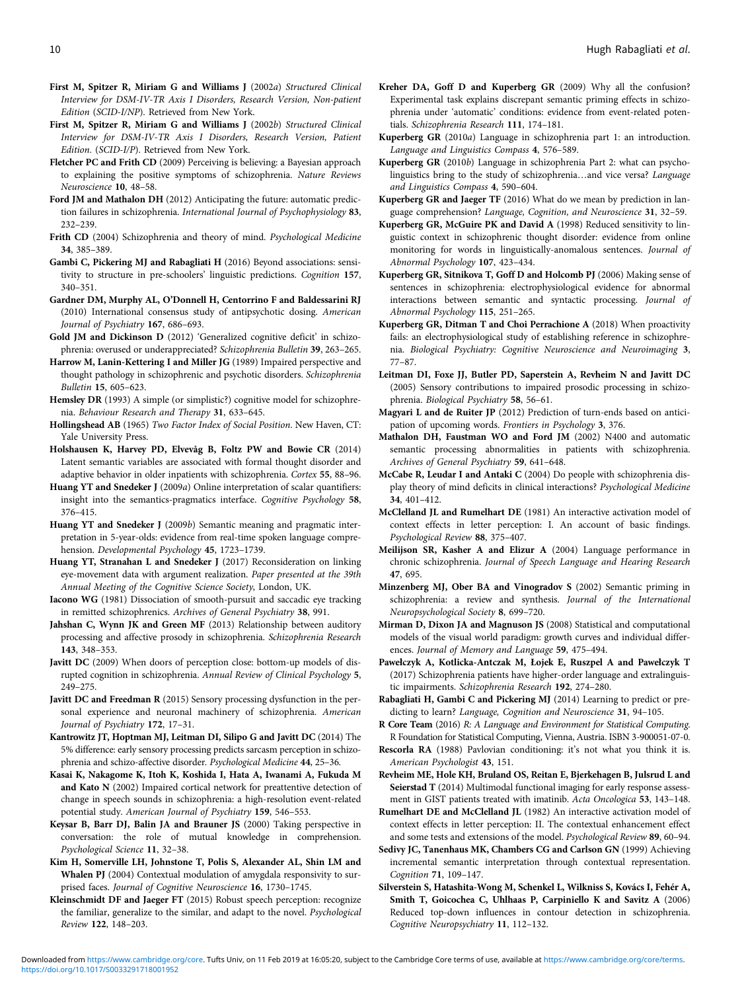- <span id="page-9-0"></span>First M, Spitzer R, Miriam G and Williams J (2002a) Structured Clinical Interview for DSM-IV-TR Axis I Disorders, Research Version, Non-patient Edition (SCID-I/NP). Retrieved from New York.
- First M, Spitzer R, Miriam G and Williams J (2002b) Structured Clinical Interview for DSM-IV-TR Axis I Disorders, Research Version, Patient Edition. (SCID-I/P). Retrieved from New York.
- Fletcher PC and Frith CD (2009) Perceiving is believing: a Bayesian approach to explaining the positive symptoms of schizophrenia. Nature Reviews Neuroscience 10, 48–58.
- Ford JM and Mathalon DH (2012) Anticipating the future: automatic prediction failures in schizophrenia. International Journal of Psychophysiology 83, 232–239.
- Frith CD (2004) Schizophrenia and theory of mind. Psychological Medicine 34, 385–389.
- Gambi C, Pickering MJ and Rabagliati H (2016) Beyond associations: sensitivity to structure in pre-schoolers' linguistic predictions. Cognition 157, 340–351.
- Gardner DM, Murphy AL, O'Donnell H, Centorrino F and Baldessarini RJ (2010) International consensus study of antipsychotic dosing. American Journal of Psychiatry 167, 686–693.
- Gold JM and Dickinson D (2012) 'Generalized cognitive deficit' in schizophrenia: overused or underappreciated? Schizophrenia Bulletin 39, 263–265.
- Harrow M, Lanin-Kettering I and Miller JG (1989) Impaired perspective and thought pathology in schizophrenic and psychotic disorders. Schizophrenia Bulletin 15, 605–623.
- Hemsley DR (1993) A simple (or simplistic?) cognitive model for schizophrenia. Behaviour Research and Therapy 31, 633–645.
- Hollingshead AB (1965) Two Factor Index of Social Position. New Haven, CT: Yale University Press.
- Holshausen K, Harvey PD, Elvevåg B, Foltz PW and Bowie CR (2014) Latent semantic variables are associated with formal thought disorder and adaptive behavior in older inpatients with schizophrenia. Cortex 55, 88–96.
- Huang YT and Snedeker J (2009a) Online interpretation of scalar quantifiers: insight into the semantics-pragmatics interface. Cognitive Psychology 58, 376–415.
- Huang YT and Snedeker J (2009b) Semantic meaning and pragmatic interpretation in 5-year-olds: evidence from real-time spoken language comprehension. Developmental Psychology 45, 1723–1739.
- Huang YT, Stranahan L and Snedeker J (2017) Reconsideration on linking eye-movement data with argument realization. Paper presented at the 39th Annual Meeting of the Cognitive Science Society, London, UK.
- Iacono WG (1981) Dissociation of smooth-pursuit and saccadic eye tracking in remitted schizophrenics. Archives of General Psychiatry 38, 991.
- Jahshan C, Wynn JK and Green MF (2013) Relationship between auditory processing and affective prosody in schizophrenia. Schizophrenia Research 143, 348–353.
- Javitt DC (2009) When doors of perception close: bottom-up models of disrupted cognition in schizophrenia. Annual Review of Clinical Psychology 5, 249–275.
- Javitt DC and Freedman R (2015) Sensory processing dysfunction in the personal experience and neuronal machinery of schizophrenia. American Journal of Psychiatry 172, 17–31.
- Kantrowitz JT, Hoptman MJ, Leitman DI, Silipo G and Javitt DC (2014) The 5% difference: early sensory processing predicts sarcasm perception in schizophrenia and schizo-affective disorder. Psychological Medicine 44, 25–36.
- Kasai K, Nakagome K, Itoh K, Koshida I, Hata A, Iwanami A, Fukuda M and Kato N (2002) Impaired cortical network for preattentive detection of change in speech sounds in schizophrenia: a high-resolution event-related potential study. American Journal of Psychiatry 159, 546–553.
- Keysar B, Barr DJ, Balin JA and Brauner JS (2000) Taking perspective in conversation: the role of mutual knowledge in comprehension. Psychological Science 11, 32–38.
- Kim H, Somerville LH, Johnstone T, Polis S, Alexander AL, Shin LM and Whalen PJ (2004) Contextual modulation of amygdala responsivity to surprised faces. Journal of Cognitive Neuroscience 16, 1730–1745.
- Kleinschmidt DF and Jaeger FT (2015) Robust speech perception: recognize the familiar, generalize to the similar, and adapt to the novel. Psychological Review 122, 148–203.
- Kreher DA, Goff D and Kuperberg GR (2009) Why all the confusion? Experimental task explains discrepant semantic priming effects in schizophrenia under 'automatic' conditions: evidence from event-related potentials. Schizophrenia Research 111, 174–181.
- Kuperberg GR (2010a) Language in schizophrenia part 1: an introduction. Language and Linguistics Compass 4, 576–589.
- Kuperberg GR (2010b) Language in schizophrenia Part 2: what can psycholinguistics bring to the study of schizophrenia…and vice versa? Language and Linguistics Compass 4, 590–604.
- Kuperberg GR and Jaeger TF (2016) What do we mean by prediction in language comprehension? Language, Cognition, and Neuroscience 31, 32–59.
- Kuperberg GR, McGuire PK and David A (1998) Reduced sensitivity to linguistic context in schizophrenic thought disorder: evidence from online monitoring for words in linguistically-anomalous sentences. Journal of Abnormal Psychology 107, 423–434.
- Kuperberg GR, Sitnikova T, Goff D and Holcomb PJ (2006) Making sense of sentences in schizophrenia: electrophysiological evidence for abnormal interactions between semantic and syntactic processing. Journal of Abnormal Psychology 115, 251–265.
- Kuperberg GR, Ditman T and Choi Perrachione A (2018) When proactivity fails: an electrophysiological study of establishing reference in schizophrenia. Biological Psychiatry: Cognitive Neuroscience and Neuroimaging 3, 77–87.
- Leitman DI, Foxe JJ, Butler PD, Saperstein A, Revheim N and Javitt DC (2005) Sensory contributions to impaired prosodic processing in schizophrenia. Biological Psychiatry 58, 56–61.
- Magyari L and de Ruiter JP (2012) Prediction of turn-ends based on anticipation of upcoming words. Frontiers in Psychology 3, 376.
- Mathalon DH, Faustman WO and Ford JM (2002) N400 and automatic semantic processing abnormalities in patients with schizophrenia. Archives of General Psychiatry 59, 641–648.
- McCabe R, Leudar I and Antaki C (2004) Do people with schizophrenia display theory of mind deficits in clinical interactions? Psychological Medicine 34, 401–412.
- McClelland JL and Rumelhart DE (1981) An interactive activation model of context effects in letter perception: I. An account of basic findings. Psychological Review 88, 375–407.
- Meilijson SR, Kasher A and Elizur A (2004) Language performance in chronic schizophrenia. Journal of Speech Language and Hearing Research 47, 695.
- Minzenberg MJ, Ober BA and Vinogradov S (2002) Semantic priming in schizophrenia: a review and synthesis. Journal of the International Neuropsychological Society 8, 699–720.
- Mirman D, Dixon JA and Magnuson JS (2008) Statistical and computational models of the visual world paradigm: growth curves and individual differences. Journal of Memory and Language 59, 475–494.
- Pawełczyk A, Kotlicka-Antczak M, Łojek E, Ruszpel A and Pawełczyk T (2017) Schizophrenia patients have higher-order language and extralinguistic impairments. Schizophrenia Research 192, 274–280.
- Rabagliati H, Gambi C and Pickering MJ (2014) Learning to predict or predicting to learn? Language, Cognition and Neuroscience 31, 94–105.
- R Core Team (2016) R: A Language and Environment for Statistical Computing. R Foundation for Statistical Computing, Vienna, Austria. ISBN 3-900051-07-0.
- Rescorla RA (1988) Pavlovian conditioning: it's not what you think it is. American Psychologist 43, 151.
- Revheim ME, Hole KH, Bruland OS, Reitan E, Bjerkehagen B, Julsrud L and Seierstad T (2014) Multimodal functional imaging for early response assessment in GIST patients treated with imatinib. Acta Oncologica 53, 143–148.
- Rumelhart DE and McClelland JL (1982) An interactive activation model of context effects in letter perception: II. The contextual enhancement effect and some tests and extensions of the model. Psychological Review 89, 60–94.
- Sedivy JC, Tanenhaus MK, Chambers CG and Carlson GN (1999) Achieving incremental semantic interpretation through contextual representation. Cognition 71, 109–147.
- Silverstein S, Hatashita-Wong M, Schenkel L, Wilkniss S, Kovács I, Fehér A, Smith T, Goicochea C, Uhlhaas P, Carpiniello K and Savitz A (2006) Reduced top-down influences in contour detection in schizophrenia. Cognitive Neuropsychiatry 11, 112–132.